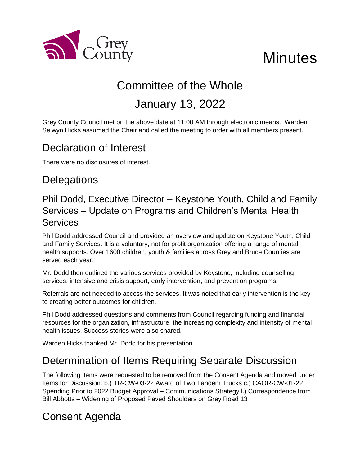

# **Minutes**

# Committee of the Whole

## January 13, 2022

Grey County Council met on the above date at 11:00 AM through electronic means. Warden Selwyn Hicks assumed the Chair and called the meeting to order with all members present.

## Declaration of Interest

There were no disclosures of interest.

## **Delegations**

#### Phil Dodd, Executive Director – Keystone Youth, Child and Family Services – Update on Programs and Children's Mental Health Services

Phil Dodd addressed Council and provided an overview and update on Keystone Youth, Child and Family Services. It is a voluntary, not for profit organization offering a range of mental health supports. Over 1600 children, youth & families across Grey and Bruce Counties are served each year.

Mr. Dodd then outlined the various services provided by Keystone, including counselling services, intensive and crisis support, early intervention, and prevention programs.

Referrals are not needed to access the services. It was noted that early intervention is the key to creating better outcomes for children.

Phil Dodd addressed questions and comments from Council regarding funding and financial resources for the organization, infrastructure, the increasing complexity and intensity of mental health issues. Success stories were also shared.

Warden Hicks thanked Mr. Dodd for his presentation.

## Determination of Items Requiring Separate Discussion

The following items were requested to be removed from the Consent Agenda and moved under Items for Discussion: b.) TR-CW-03-22 Award of Two Tandem Trucks c.) CAOR-CW-01-22 Spending Prior to 2022 Budget Approval – Communications Strategy l.) Correspondence from Bill Abbotts – Widening of Proposed Paved Shoulders on Grey Road 13

## Consent Agenda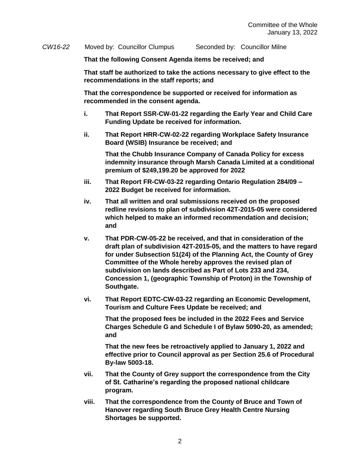*CW16-22* Moved by: Councillor Clumpus Seconded by: Councillor Milne

**That the following Consent Agenda items be received; and**

**That staff be authorized to take the actions necessary to give effect to the recommendations in the staff reports; and**

**That the correspondence be supported or received for information as recommended in the consent agenda.** 

- **i. That Report SSR-CW-01-22 regarding the Early Year and Child Care Funding Update be received for information.**
- **ii. That Report HRR-CW-02-22 regarding Workplace Safety Insurance Board (WSIB) Insurance be received; and**

**That the Chubb Insurance Company of Canada Policy for excess indemnity insurance through Marsh Canada Limited at a conditional premium of \$249,199.20 be approved for 2022**

- **iii. That Report FR-CW-03-22 regarding Ontario Regulation 284/09 – 2022 Budget be received for information.**
- **iv. That all written and oral submissions received on the proposed redline revisions to plan of subdivision 42T-2015-05 were considered which helped to make an informed recommendation and decision; and**
- **v. That PDR-CW-05-22 be received, and that in consideration of the draft plan of subdivision 42T-2015-05, and the matters to have regard for under Subsection 51(24) of the Planning Act, the County of Grey Committee of the Whole hereby approves the revised plan of subdivision on lands described as Part of Lots 233 and 234, Concession 1, (geographic Township of Proton) in the Township of Southgate.**
- **vi. That Report EDTC-CW-03-22 regarding an Economic Development, Tourism and Culture Fees Update be received; and**

**That the proposed fees be included in the 2022 Fees and Service Charges Schedule G and Schedule I of Bylaw 5090-20, as amended; and**

**That the new fees be retroactively applied to January 1, 2022 and effective prior to Council approval as per Section 25.6 of Procedural By-law 5003-18.**

- **vii. That the County of Grey support the correspondence from the City of St. Catharine's regarding the proposed national childcare program.**
- **viii. That the correspondence from the County of Bruce and Town of Hanover regarding South Bruce Grey Health Centre Nursing Shortages be supported.**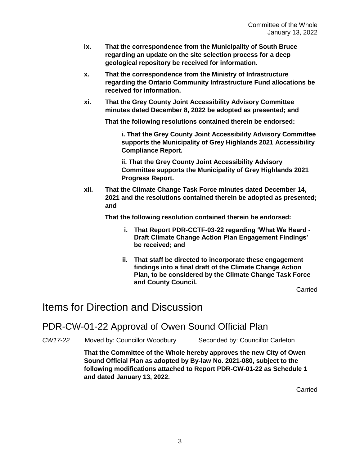- **ix. That the correspondence from the Municipality of South Bruce regarding an update on the site selection process for a deep geological repository be received for information.**
- **x. That the correspondence from the Ministry of Infrastructure regarding the Ontario Community Infrastructure Fund allocations be received for information.**
- **xi. That the Grey County Joint Accessibility Advisory Committee minutes dated December 8, 2022 be adopted as presented; and**

**That the following resolutions contained therein be endorsed:**

**i. That the Grey County Joint Accessibility Advisory Committee supports the Municipality of Grey Highlands 2021 Accessibility Compliance Report.**

**ii. That the Grey County Joint Accessibility Advisory Committee supports the Municipality of Grey Highlands 2021 Progress Report.**

**xii. That the Climate Change Task Force minutes dated December 14, 2021 and the resolutions contained therein be adopted as presented; and**

**That the following resolution contained therein be endorsed:**

- **i. That Report PDR-CCTF-03-22 regarding 'What We Heard - Draft Climate Change Action Plan Engagement Findings' be received; and**
- **ii. That staff be directed to incorporate these engagement findings into a final draft of the Climate Change Action Plan, to be considered by the Climate Change Task Force and County Council.**

Carried

#### Items for Direction and Discussion

PDR-CW-01-22 Approval of Owen Sound Official Plan

*CW17-22* Moved by: Councillor Woodbury Seconded by: Councillor Carleton

**That the Committee of the Whole hereby approves the new City of Owen Sound Official Plan as adopted by By-law No. 2021-080, subject to the following modifications attached to Report PDR-CW-01-22 as Schedule 1 and dated January 13, 2022.**

Carried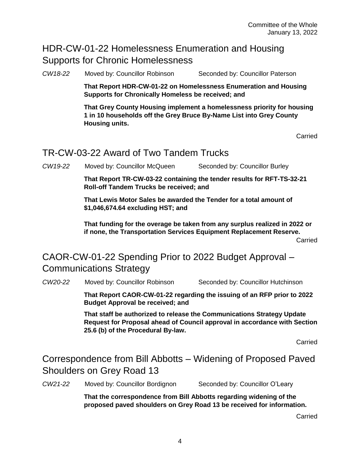#### HDR-CW-01-22 Homelessness Enumeration and Housing Supports for Chronic Homelessness

*CW18-22* Moved by: Councillor Robinson Seconded by: Councillor Paterson

**That Report HDR-CW-01-22 on Homelessness Enumeration and Housing Supports for Chronically Homeless be received; and**

**That Grey County Housing implement a homelessness priority for housing 1 in 10 households off the Grey Bruce By-Name List into Grey County Housing units.**

Carried

#### TR-CW-03-22 Award of Two Tandem Trucks

*CW19-22* Moved by: Councillor McQueen Seconded by: Councillor Burley

**That Report TR-CW-03-22 containing the tender results for RFT-TS-32-21 Roll-off Tandem Trucks be received; and**

**That Lewis Motor Sales be awarded the Tender for a total amount of \$1,046,674.64 excluding HST; and**

**That funding for the overage be taken from any surplus realized in 2022 or if none, the Transportation Services Equipment Replacement Reserve.**

Carried

#### CAOR-CW-01-22 Spending Prior to 2022 Budget Approval – Communications Strategy

*CW20-22* Moved by: Councillor Robinson Seconded by: Councillor Hutchinson

**That Report CAOR-CW-01-22 regarding the issuing of an RFP prior to 2022 Budget Approval be received; and**

**That staff be authorized to release the Communications Strategy Update Request for Proposal ahead of Council approval in accordance with Section 25.6 (b) of the Procedural By-law.**

Carried

Correspondence from Bill Abbotts – Widening of Proposed Paved Shoulders on Grey Road 13

*CW21-22* Moved by: Councillor Bordignon Seconded by: Councillor O'Leary

**That the correspondence from Bill Abbotts regarding widening of the proposed paved shoulders on Grey Road 13 be received for information.** 

Carried